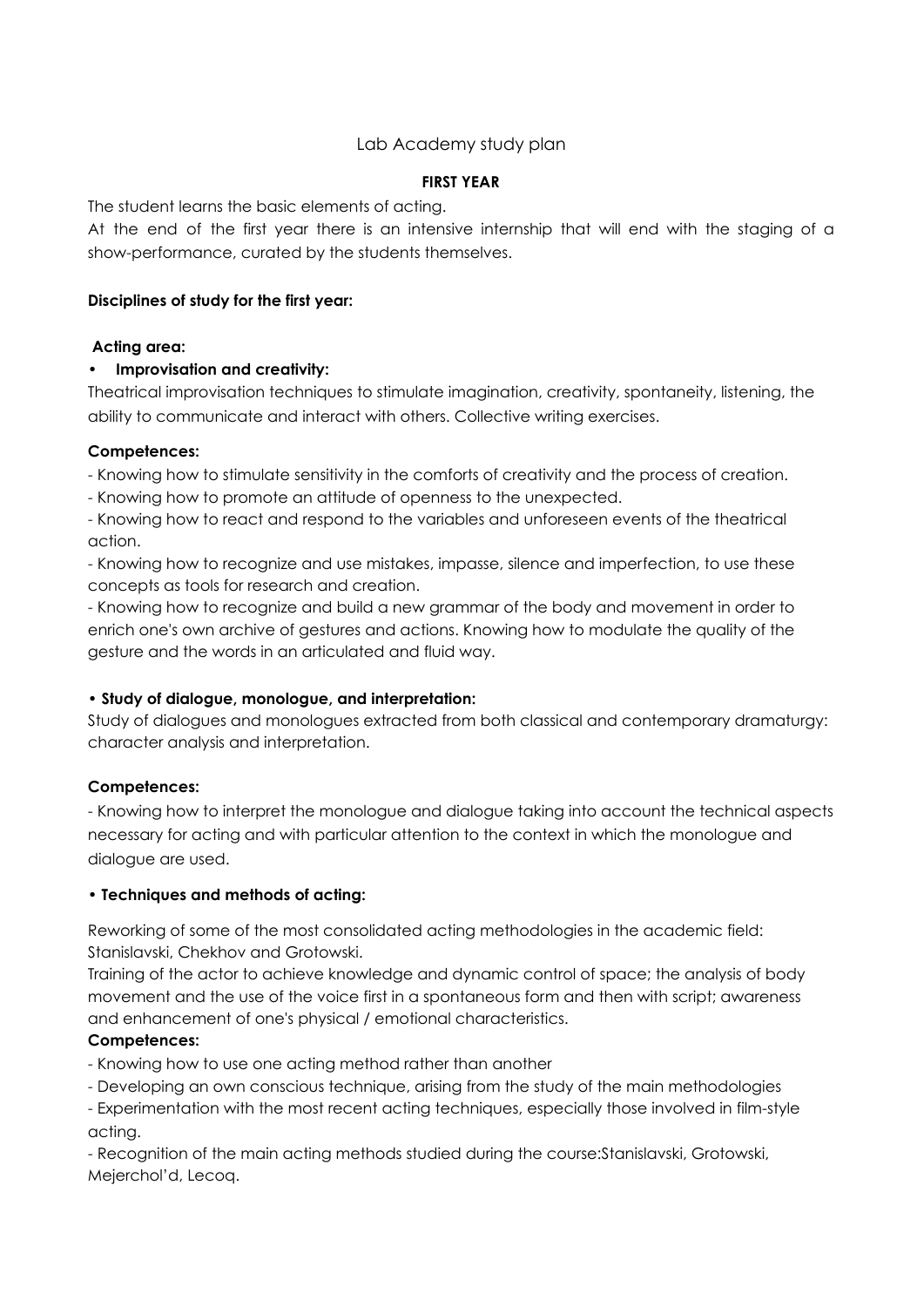## Lab Academy study plan

### **FIRST YEAR**

The student learns the basic elements of acting.

At the end of the first year there is an intensive internship that will end with the staging of a show-performance, curated by the students themselves.

### **Disciplines of study for the first year:**

### **Acting area:**

## **• Improvisation and creativity:**

Theatrical improvisation techniques to stimulate imagination, creativity, spontaneity, listening, the ability to communicate and interact with others. Collective writing exercises.

### **Competences:**

- Knowing how to stimulate sensitivity in the comforts of creativity and the process of creation.

- Knowing how to promote an attitude of openness to the unexpected.

- Knowing how to react and respond to the variables and unforeseen events of the theatrical action.

- Knowing how to recognize and use mistakes, impasse, silence and imperfection, to use these concepts as tools for research and creation.

- Knowing how to recognize and build a new grammar of the body and movement in order to enrich one's own archive of gestures and actions. Knowing how to modulate the quality of the gesture and the words in an articulated and fluid way.

## **• Study of dialogue, monologue, and interpretation:**

Study of dialogues and monologues extracted from both classical and contemporary dramaturgy: character analysis and interpretation.

## **Competences:**

- Knowing how to interpret the monologue and dialogue taking into account the technical aspects necessary for acting and with particular attention to the context in which the monologue and dialogue are used.

#### **• Techniques and methods of acting:**

Reworking of some of the most consolidated acting methodologies in the academic field: Stanislavski, Chekhov and Grotowski.

Training of the actor to achieve knowledge and dynamic control of space; the analysis of body movement and the use of the voice first in a spontaneous form and then with script; awareness and enhancement of one's physical / emotional characteristics.

## **Competences:**

- Knowing how to use one acting method rather than another

- Developing an own conscious technique, arising from the study of the main methodologies

- Experimentation with the most recent acting techniques, especially those involved in film-style acting.

- Recognition of the main acting methods studied during the course:Stanislavski, Grotowski, Mejerchol'd, Lecoq.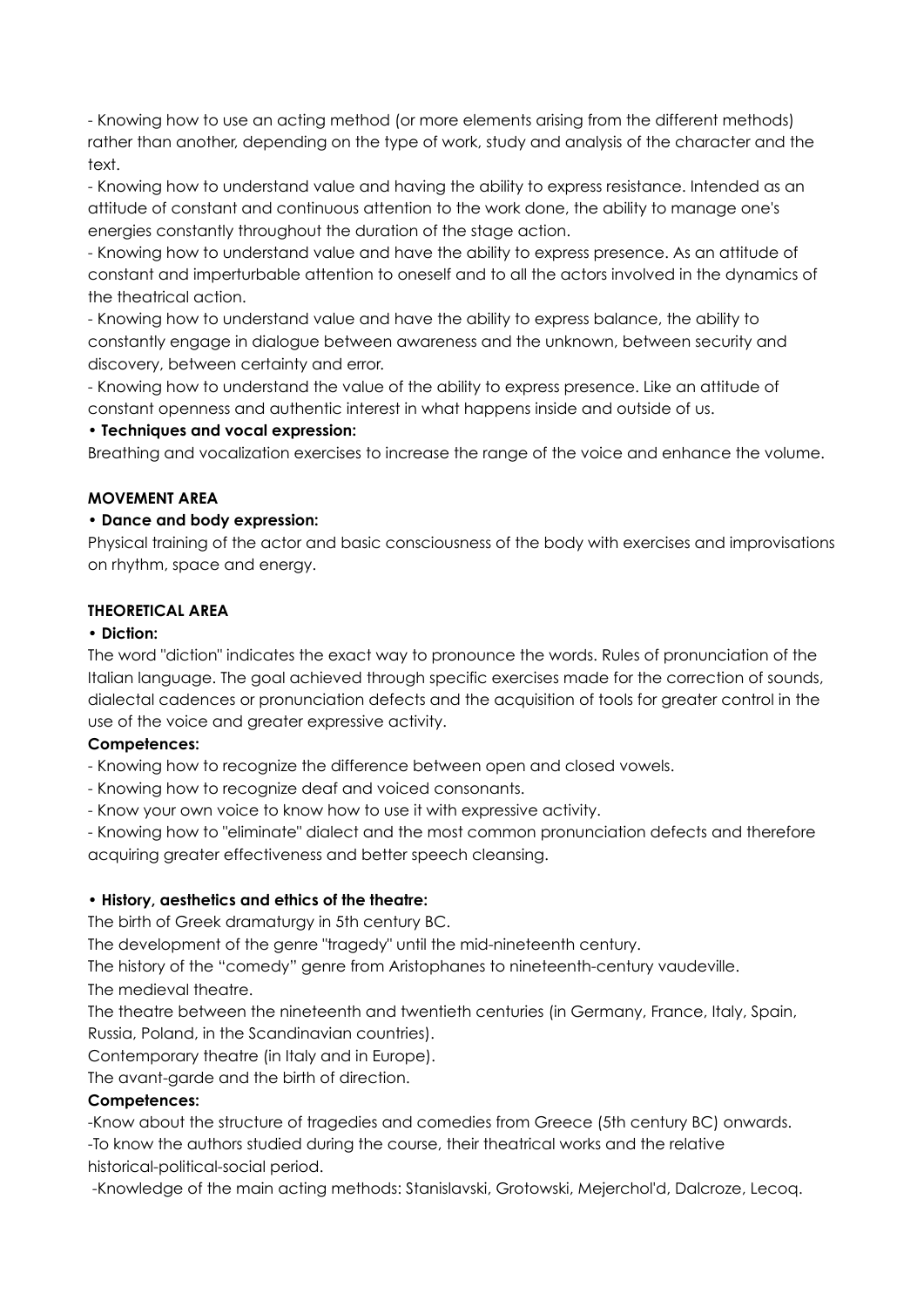- Knowing how to use an acting method (or more elements arising from the different methods) rather than another, depending on the type of work, study and analysis of the character and the text.

- Knowing how to understand value and having the ability to express resistance. Intended as an attitude of constant and continuous attention to the work done, the ability to manage one's energies constantly throughout the duration of the stage action.

- Knowing how to understand value and have the ability to express presence. As an attitude of constant and imperturbable attention to oneself and to all the actors involved in the dynamics of the theatrical action.

- Knowing how to understand value and have the ability to express balance, the ability to constantly engage in dialogue between awareness and the unknown, between security and discovery, between certainty and error.

- Knowing how to understand the value of the ability to express presence. Like an attitude of constant openness and authentic interest in what happens inside and outside of us.

### **• Techniques and vocal expression:**

Breathing and vocalization exercises to increase the range of the voice and enhance the volume.

### **MOVEMENT AREA**

### **• Dance and body expression:**

Physical training of the actor and basic consciousness of the body with exercises and improvisations on rhythm, space and energy.

### **THEORETICAL AREA**

#### **• Diction:**

The word "diction" indicates the exact way to pronounce the words. Rules of pronunciation of the Italian language. The goal achieved through specific exercises made for the correction of sounds, dialectal cadences or pronunciation defects and the acquisition of tools for greater control in the use of the voice and greater expressive activity.

## **Competences:**

- Knowing how to recognize the difference between open and closed vowels.

- Knowing how to recognize deaf and voiced consonants.
- Know your own voice to know how to use it with expressive activity.

- Knowing how to "eliminate" dialect and the most common pronunciation defects and therefore acquiring greater effectiveness and better speech cleansing.

## **• History, aesthetics and ethics of the theatre:**

The birth of Greek dramaturgy in 5th century BC.

The development of the genre "tragedy" until the mid-nineteenth century.

The history of the "comedy" genre from Aristophanes to nineteenth-century vaudeville.

The medieval theatre.

The theatre between the nineteenth and twentieth centuries (in Germany, France, Italy, Spain, Russia, Poland, in the Scandinavian countries).

Contemporary theatre (in Italy and in Europe).

The avant-garde and the birth of direction.

## **Competences:**

-Know about the structure of tragedies and comedies from Greece (5th century BC) onwards. -To know the authors studied during the course, their theatrical works and the relative historical-political-social period.

-Knowledge of the main acting methods: Stanislavski, Grotowski, Mejerchol'd, Dalcroze, Lecoq.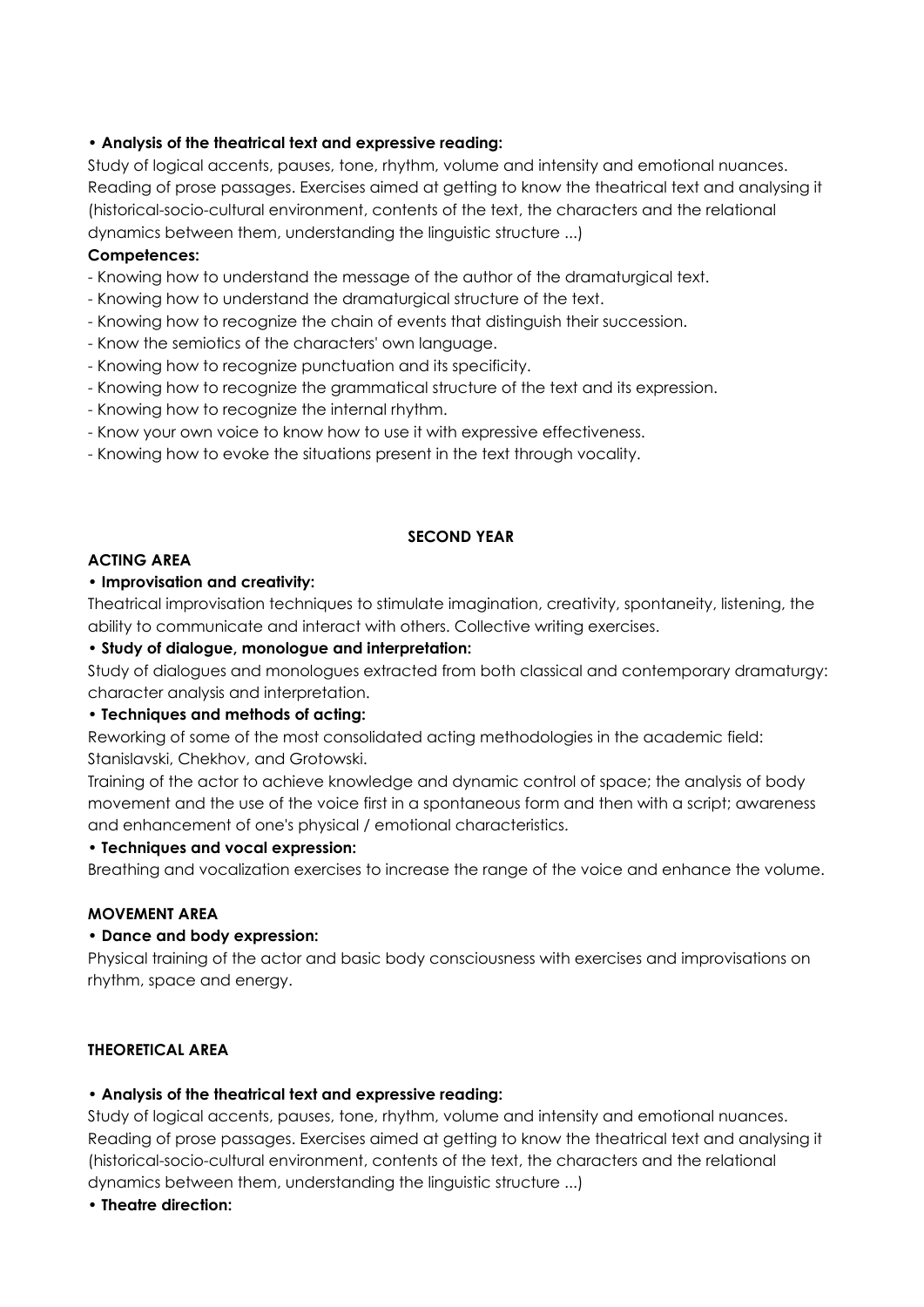## **• Analysis of the theatrical text and expressive reading:**

Study of logical accents, pauses, tone, rhythm, volume and intensity and emotional nuances. Reading of prose passages. Exercises aimed at getting to know the theatrical text and analysing it (historical-socio-cultural environment, contents of the text, the characters and the relational dynamics between them, understanding the linguistic structure ...)

#### **Competences:**

- Knowing how to understand the message of the author of the dramaturgical text.
- Knowing how to understand the dramaturgical structure of the text.
- Knowing how to recognize the chain of events that distinguish their succession.
- Know the semiotics of the characters' own language.
- Knowing how to recognize punctuation and its specificity.
- Knowing how to recognize the grammatical structure of the text and its expression.
- Knowing how to recognize the internal rhythm.
- Know your own voice to know how to use it with expressive effectiveness.
- Knowing how to evoke the situations present in the text through vocality.

### **SECOND YEAR**

### **ACTING AREA**

### • **Improvisation and creativity:**

Theatrical improvisation techniques to stimulate imagination, creativity, spontaneity, listening, the ability to communicate and interact with others. Collective writing exercises.

### **• Study of dialogue, monologue and interpretation:**

Study of dialogues and monologues extracted from both classical and contemporary dramaturgy: character analysis and interpretation.

### **• Techniques and methods of acting:**

Reworking of some of the most consolidated acting methodologies in the academic field: Stanislavski, Chekhov, and Grotowski.

Training of the actor to achieve knowledge and dynamic control of space; the analysis of body movement and the use of the voice first in a spontaneous form and then with a script; awareness and enhancement of one's physical / emotional characteristics.

#### **• Techniques and vocal expression:**

Breathing and vocalization exercises to increase the range of the voice and enhance the volume.

#### **MOVEMENT AREA**

#### **• Dance and body expression:**

Physical training of the actor and basic body consciousness with exercises and improvisations on rhythm, space and energy.

#### **THEORETICAL AREA**

#### **• Analysis of the theatrical text and expressive reading:**

Study of logical accents, pauses, tone, rhythm, volume and intensity and emotional nuances. Reading of prose passages. Exercises aimed at getting to know the theatrical text and analysing it (historical-socio-cultural environment, contents of the text, the characters and the relational dynamics between them, understanding the linguistic structure ...)

## **• Theatre direction:**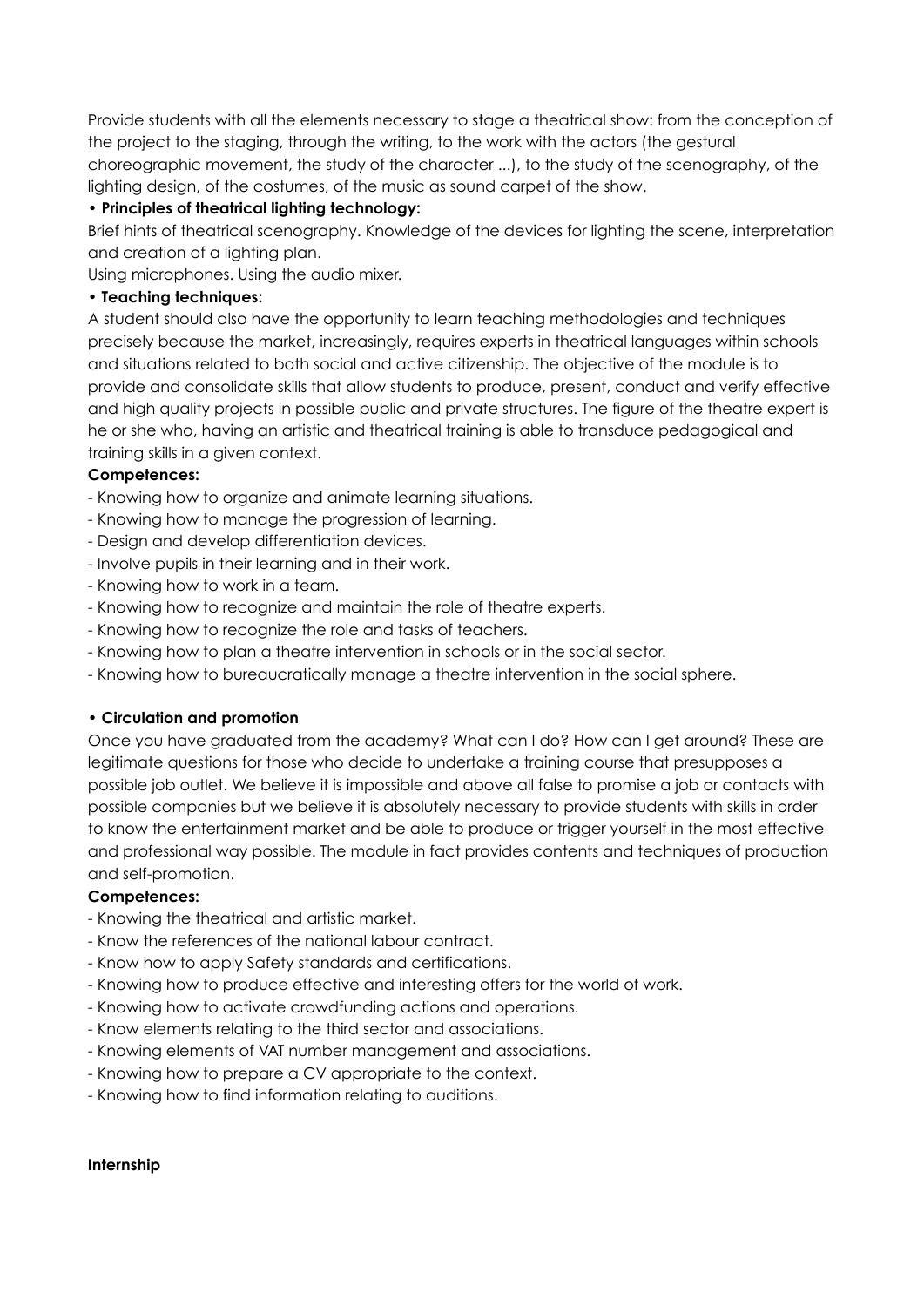Provide students with all the elements necessary to stage a theatrical show: from the conception of the project to the staging, through the writing, to the work with the actors (the gestural choreographic movement, the study of the character ...), to the study of the scenography, of the lighting design, of the costumes, of the music as sound carpet of the show.

## **• Principles of theatrical lighting technology:**

Brief hints of theatrical scenography. Knowledge of the devices for lighting the scene, interpretation and creation of a lighting plan.

Using microphones. Using the audio mixer.

### **• Teaching techniques:**

A student should also have the opportunity to learn teaching methodologies and techniques precisely because the market, increasingly, requires experts in theatrical languages within schools and situations related to both social and active citizenship. The objective of the module is to provide and consolidate skills that allow students to produce, present, conduct and verify effective and high quality projects in possible public and private structures. The figure of the theatre expert is he or she who, having an artistic and theatrical training is able to transduce pedagogical and training skills in a given context.

### **Competences:**

- Knowing how to organize and animate learning situations.
- Knowing how to manage the progression of learning.
- Design and develop differentiation devices.
- Involve pupils in their learning and in their work.
- Knowing how to work in a team.
- Knowing how to recognize and maintain the role of theatre experts.
- Knowing how to recognize the role and tasks of teachers.
- Knowing how to plan a theatre intervention in schools or in the social sector.
- Knowing how to bureaucratically manage a theatre intervention in the social sphere.

#### **• Circulation and promotion**

Once you have graduated from the academy? What can I do? How can I get around? These are legitimate questions for those who decide to undertake a training course that presupposes a possible job outlet. We believe it is impossible and above all false to promise a job or contacts with possible companies but we believe it is absolutely necessary to provide students with skills in order to know the entertainment market and be able to produce or trigger yourself in the most effective and professional way possible. The module in fact provides contents and techniques of production and self-promotion.

#### **Competences:**

- Knowing the theatrical and artistic market.
- Know the references of the national labour contract.
- Know how to apply Safety standards and certifications.
- Knowing how to produce effective and interesting offers for the world of work.
- Knowing how to activate crowdfunding actions and operations.
- Know elements relating to the third sector and associations.
- Knowing elements of VAT number management and associations.
- Knowing how to prepare a CV appropriate to the context.
- Knowing how to find information relating to auditions.

#### **Internship**